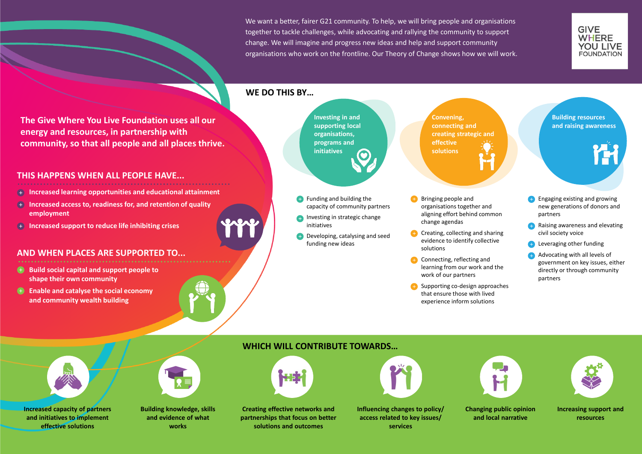We want a better, fairer G21 community. To help, we will bring people and organisations together to tackle challenges, while advocating and rallying the community to support change. We will imagine and progress new ideas and help and support community organisations who work on the frontline. Our Theory of Change shows how we will work.

**The Give Where You Live Foundation uses all our energy and resources, in partnership with community, so that all people and all places thrive.** 

# **THIS HAPPENS WHEN ALL PEOPLE HAVE...**

- **Increased learning opportunities and educational attainment**
- **Increased access to, readiness for, and retention of quality employment**
- **Increased support to reduce life inhibiting crises**
- **Funding and building the** capacity of community partners
- **Investing in strategic change** initiatives
- **Developing, catalysing and seed** funding new ideas

# **AND WHEN PLACES ARE SUPPORTED TO...**

- **Build social capital and support people to shape their own community**
- **Enable and catalyse the social economy and community wealth building**

## **WE DO THIS BY…**

**Investing in and supporting local organisations, programs and initiatives**

**Convening, connecting and creating strategic and effective solutions**

- Bringing people and organisations together and aligning effort behind common change agendas
- **Creating, collecting and sharing** evidence to identify collective solutions
- **Connecting, reflecting and** learning from our work and the work of our partners
- Supporting co-design approaches that ensure those with lived experience inform solutions







# **WHICH WILL CONTRIBUTE TOWARDS…**



**Increased capacity of partners and initiatives to implement effective solutions**

**Building knowledge, skills and evidence of what works**





**Influencing changes to policy/ access related to key issues/ services**

**Changing public opinion and local narrative**



**Increasing support and resources**